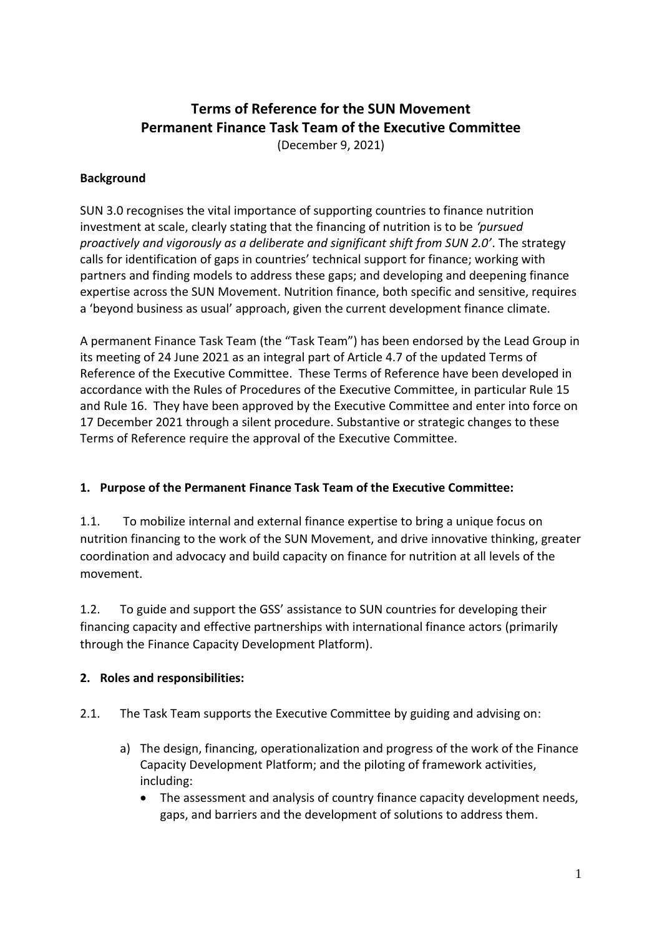# **Terms of Reference for the SUN Movement Permanent Finance Task Team of the Executive Committee**

(December 9, 2021)

#### **Background**

SUN 3.0 recognises the vital importance of supporting countries to finance nutrition investment at scale, clearly stating that the financing of nutrition is to be *'pursued proactively and vigorously as a deliberate and significant shift from SUN 2.0'*. The strategy calls for identification of gaps in countries' technical support for finance; working with partners and finding models to address these gaps; and developing and deepening finance expertise across the SUN Movement. Nutrition finance, both specific and sensitive, requires a 'beyond business as usual' approach, given the current development finance climate.

A permanent Finance Task Team (the "Task Team") has been endorsed by the Lead Group in its meeting of 24 June 2021 as an integral part of Article 4.7 of the updated Terms of Reference of the Executive Committee. These Terms of Reference have been developed in accordance with the Rules of Procedures of the Executive Committee, in particular Rule 15 and Rule 16. They have been approved by the Executive Committee and enter into force on 17 December 2021 through a silent procedure. Substantive or strategic changes to these Terms of Reference require the approval of the Executive Committee.

### **1. Purpose of the Permanent Finance Task Team of the Executive Committee:**

1.1. To mobilize internal and external finance expertise to bring a unique focus on nutrition financing to the work of the SUN Movement, and drive innovative thinking, greater coordination and advocacy and build capacity on finance for nutrition at all levels of the movement.

1.2. To guide and support the GSS' assistance to SUN countries for developing their financing capacity and effective partnerships with international finance actors (primarily through the Finance Capacity Development Platform).

### **2. Roles and responsibilities:**

- 2.1. The Task Team supports the Executive Committee by guiding and advising on:
	- a) The design, financing, operationalization and progress of the work of the Finance Capacity Development Platform; and the piloting of framework activities, including:
		- The assessment and analysis of country finance capacity development needs, gaps, and barriers and the development of solutions to address them.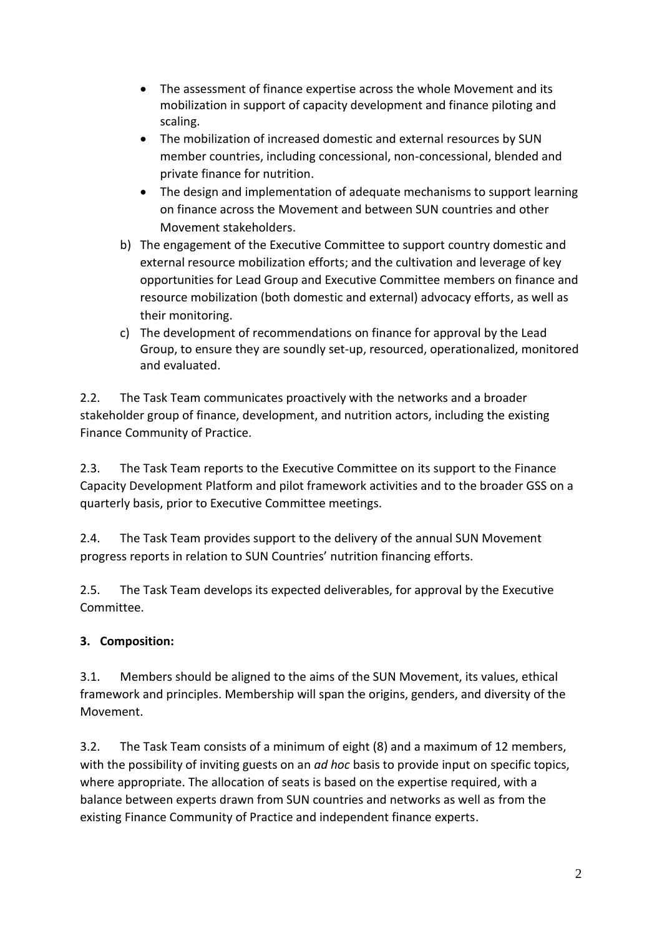- The assessment of finance expertise across the whole Movement and its mobilization in support of capacity development and finance piloting and scaling.
- The mobilization of increased domestic and external resources by SUN member countries, including concessional, non-concessional, blended and private finance for nutrition.
- The design and implementation of adequate mechanisms to support learning on finance across the Movement and between SUN countries and other Movement stakeholders.
- b) The engagement of the Executive Committee to support country domestic and external resource mobilization efforts; and the cultivation and leverage of key opportunities for Lead Group and Executive Committee members on finance and resource mobilization (both domestic and external) advocacy efforts, as well as their monitoring.
- c) The development of recommendations on finance for approval by the Lead Group, to ensure they are soundly set-up, resourced, operationalized, monitored and evaluated.

2.2. The Task Team communicates proactively with the networks and a broader stakeholder group of finance, development, and nutrition actors, including the existing Finance Community of Practice.

2.3. The Task Team reports to the Executive Committee on its support to the Finance Capacity Development Platform and pilot framework activities and to the broader GSS on a quarterly basis, prior to Executive Committee meetings.

2.4. The Task Team provides support to the delivery of the annual SUN Movement progress reports in relation to SUN Countries' nutrition financing efforts.

2.5. The Task Team develops its expected deliverables, for approval by the Executive Committee.

## **3. Composition:**

3.1. Members should be aligned to the aims of the SUN Movement, its values, ethical framework and principles. Membership will span the origins, genders, and diversity of the Movement.

3.2. The Task Team consists of a minimum of eight (8) and a maximum of 12 members, with the possibility of inviting guests on an *ad hoc* basis to provide input on specific topics, where appropriate. The allocation of seats is based on the expertise required, with a balance between experts drawn from SUN countries and networks as well as from the existing Finance Community of Practice and independent finance experts.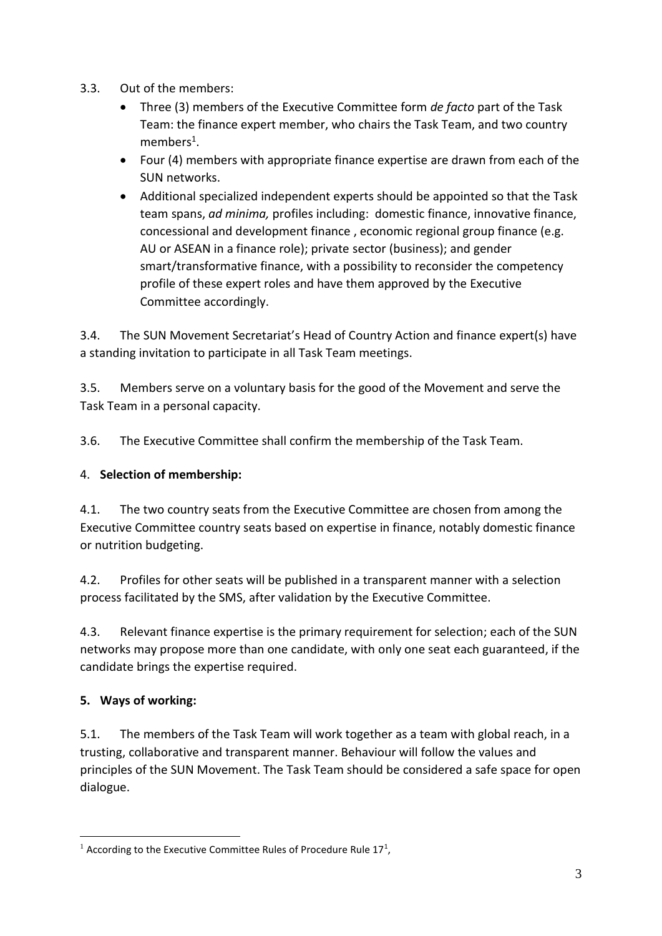- 3.3. Out of the members:
	- Three (3) members of the Executive Committee form *de facto* part of the Task Team: the finance expert member, who chairs the Task Team, and two country members<sup>1</sup>.
	- Four (4) members with appropriate finance expertise are drawn from each of the SUN networks.
	- Additional specialized independent experts should be appointed so that the Task team spans, *ad minima,* profiles including: domestic finance, innovative finance, concessional and development finance , economic regional group finance (e.g. AU or ASEAN in a finance role); private sector (business); and gender smart/transformative finance, with a possibility to reconsider the competency profile of these expert roles and have them approved by the Executive Committee accordingly.

3.4. The SUN Movement Secretariat's Head of Country Action and finance expert(s) have a standing invitation to participate in all Task Team meetings.

3.5. Members serve on a voluntary basis for the good of the Movement and serve the Task Team in a personal capacity.

3.6. The Executive Committee shall confirm the membership of the Task Team.

### 4. **Selection of membership:**

4.1. The two country seats from the Executive Committee are chosen from among the Executive Committee country seats based on expertise in finance, notably domestic finance or nutrition budgeting.

4.2. Profiles for other seats will be published in a transparent manner with a selection process facilitated by the SMS, after validation by the Executive Committee.

4.3. Relevant finance expertise is the primary requirement for selection; each of the SUN networks may propose more than one candidate, with only one seat each guaranteed, if the candidate brings the expertise required.

## **5. Ways of working:**

5.1. The members of the Task Team will work together as a team with global reach, in a trusting, collaborative and transparent manner. Behaviour will follow the values and principles of the SUN Movement. The Task Team should be considered a safe space for open dialogue.

<sup>&</sup>lt;sup>1</sup> According to the Executive Committee Rules of Procedure Rule  $17<sup>1</sup>$ ,